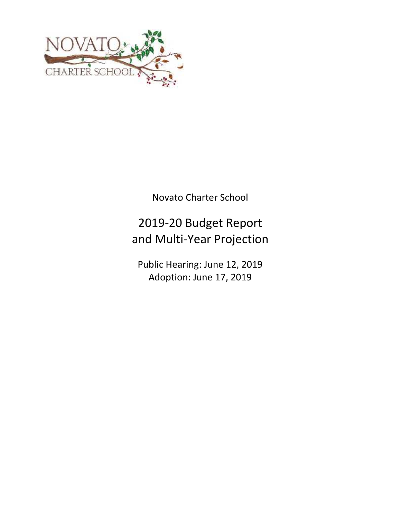

Novato Charter School

# 2019-20 Budget Report and Multi-Year Projection

Public Hearing: June 12, 2019 Adoption: June 17, 2019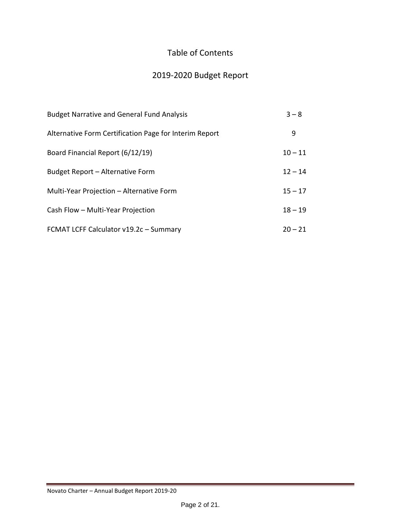# Table of Contents

# 2019-2020 Budget Report

| <b>Budget Narrative and General Fund Analysis</b>      | $3 - 8$   |
|--------------------------------------------------------|-----------|
| Alternative Form Certification Page for Interim Report | 9         |
| Board Financial Report (6/12/19)                       | $10 - 11$ |
| Budget Report - Alternative Form                       | $12 - 14$ |
| Multi-Year Projection - Alternative Form               | $15 - 17$ |
| Cash Flow - Multi-Year Projection                      | $18 - 19$ |
| FCMAT LCFF Calculator v19.2c - Summary                 | $20 - 21$ |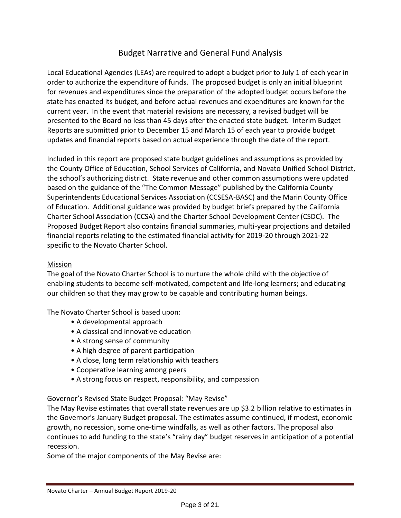## Budget Narrative and General Fund Analysis

Local Educational Agencies (LEAs) are required to adopt a budget prior to July 1 of each year in order to authorize the expenditure of funds. The proposed budget is only an initial blueprint for revenues and expenditures since the preparation of the adopted budget occurs before the state has enacted its budget, and before actual revenues and expenditures are known for the current year. In the event that material revisions are necessary, a revised budget will be presented to the Board no less than 45 days after the enacted state budget. Interim Budget Reports are submitted prior to December 15 and March 15 of each year to provide budget updates and financial reports based on actual experience through the date of the report.

Included in this report are proposed state budget guidelines and assumptions as provided by the County Office of Education, School Services of California, and Novato Unified School District, the school's authorizing district. State revenue and other common assumptions were updated based on the guidance of the "The Common Message" published by the California County Superintendents Educational Services Association (CCSESA-BASC) and the Marin County Office of Education. Additional guidance was provided by budget briefs prepared by the California Charter School Association (CCSA) and the Charter School Development Center (CSDC). The Proposed Budget Report also contains financial summaries, multi-year projections and detailed financial reports relating to the estimated financial activity for 2019-20 through 2021-22 specific to the Novato Charter School.

### Mission

The goal of the Novato Charter School is to nurture the whole child with the objective of enabling students to become self-motivated, competent and life-long learners; and educating our children so that they may grow to be capable and contributing human beings.

The Novato Charter School is based upon:

- A developmental approach
- A classical and innovative education
- A strong sense of community
- A high degree of parent participation
- A close, long term relationship with teachers
- Cooperative learning among peers
- A strong focus on respect, responsibility, and compassion

### Governor's Revised State Budget Proposal: "May Revise"

The May Revise estimates that overall state revenues are up \$3.2 billion relative to estimates in the Governor's January Budget proposal. The estimates assume continued, if modest, economic growth, no recession, some one-time windfalls, as well as other factors. The proposal also continues to add funding to the state's "rainy day" budget reserves in anticipation of a potential recession.

Some of the major components of the May Revise are: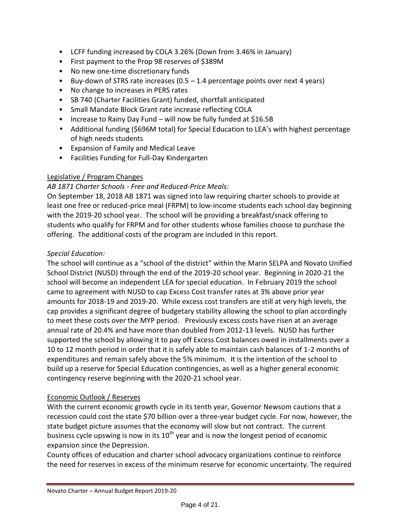- LCFF funding increased by COLA 3.26% (Down from 3.46% in January)
- First payment to the Prop 98 reserves of \$389M
- No new one-time discretionary funds
- Buy-down of STRS rate increases (0.5 1.4 percentage points over next 4 years)
- No change to increases in PERS rates
- SB 740 (Charter Facilities Grant) funded, shortfall anticipated
- Small Mandate Block Grant rate increase reflecting COLA
- Increase to Rainy Day Fund will now be fully funded at \$16.5B
- Additional funding (\$696M total) for Special Education to LEA's with highest percentage of high needs students
- Expansion of Family and Medical Leave
- Facilities Funding for Full-Day Kindergarten

## Legislative / Program Changes

## *AB 1871 Charter Schools - Free and Reduced-Price Meals:*

On September 18, 2018 AB 1871 was signed into law requiring charter schools to provide at least one free or reduced-price meal (FRPM) to low-income students each school day beginning with the 2019-20 school year. The school will be providing a breakfast/snack offering to students who qualify for FRPM and for other students whose families choose to purchase the offering. The additional costs of the program are included in this report.

## *Special Education:*

The school will continue as a "school of the district" within the Marin SELPA and Novato Unified School District (NUSD) through the end of the 2019-20 school year. Beginning in 2020-21 the school will become an independent LEA for special education. In February 2019 the school came to agreement with NUSD to cap Excess Cost transfer rates at 3% above prior year amounts for 2018-19 and 2019-20. While excess cost transfers are still at very high levels, the cap provides a significant degree of budgetary stability allowing the school to plan accordingly to meet these costs over the MYP period. Previously excess costs have risen at an average annual rate of 20.4% and have more than doubled from 2012-13 levels. NUSD has further supported the school by allowing it to pay off Excess Cost balances owed in installments over a 10 to 12 month period in order that it is safely able to maintain cash balances of 1-2 months of expenditures and remain safely above the 5% minimum. It is the intention of the school to build up a reserve for Special Education contingencies, as well as a higher general economic contingency reserve beginning with the 2020-21 school year.

## Economic Outlook / Reserves

With the current economic growth cycle in its tenth year, Governor Newsom cautions that a recession could cost the state \$70 billion over a three-year budget cycle. For now, however, the state budget picture assumes that the economy will slow but not contract. The current business cycle upswing is now in its  $10^{th}$  year and is now the longest period of economic expansion since the Depression.

County offices of education and charter school advocacy organizations continue to reinforce the need for reserves in excess of the minimum reserve for economic uncertainty. The required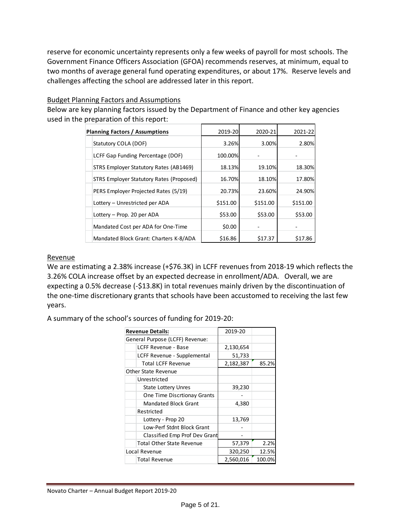reserve for economic uncertainty represents only a few weeks of payroll for most schools. The Government Finance Officers Association (GFOA) recommends reserves, at minimum, equal to two months of average general fund operating expenditures, or about 17%. Reserve levels and challenges affecting the school are addressed later in this report.

### Budget Planning Factors and Assumptions

Below are key planning factors issued by the Department of Finance and other key agencies used in the preparation of this report:

| <b>Planning Factors / Assumptions</b>    | 2019-20  | 2020-21  | 2021-22  |
|------------------------------------------|----------|----------|----------|
| Statutory COLA (DOF)                     | 3.26%    | 3.00%    | 2.80%    |
| LCFF Gap Funding Percentage (DOF)        | 100.00%  |          |          |
| STRS Employer Statutory Rates (AB1469)   | 18.13%   | 19.10%   | 18.30%   |
| STRS Employer Statutory Rates (Proposed) | 16.70%   | 18.10%   | 17.80%   |
| PERS Employer Projected Rates (5/19)     | 20.73%   | 23.60%   | 24.90%   |
| Lottery - Unrestricted per ADA           | \$151.00 | \$151.00 | \$151.00 |
| Lottery - Prop. 20 per ADA               | \$53.00  | \$53.00  | \$53.00  |
| Mandated Cost per ADA for One-Time       | \$0.00   |          |          |
| Mandated Block Grant: Charters K-8/ADA   | \$16.86  | \$17.37  | \$17.86  |

### Revenue

We are estimating a 2.38% increase (+\$76.3K) in LCFF revenues from 2018-19 which reflects the 3.26% COLA increase offset by an expected decrease in enrollment/ADA. Overall, we are expecting a 0.5% decrease (-\$13.8K) in total revenues mainly driven by the discontinuation of the one-time discretionary grants that schools have been accustomed to receiving the last few years.

A summary of the school's sources of funding for 2019-20:

|                                 | <b>Revenue Details:</b>          | 2019-20   |        |
|---------------------------------|----------------------------------|-----------|--------|
| General Purpose (LCFF) Revenue: |                                  |           |        |
|                                 | LCFF Revenue - Base              | 2,130,654 |        |
|                                 | LCFF Revenue - Supplemental      | 51,733    |        |
|                                 | <b>Total LCFF Revenue</b>        | 2,182,387 | 85.2%  |
|                                 | Other State Revenue              |           |        |
|                                 | Unrestricted                     |           |        |
|                                 | <b>State Lottery Unres</b>       | 39,230    |        |
|                                 | One Time Discrtionay Grants      |           |        |
|                                 | <b>Mandated Block Grant</b>      | 4,380     |        |
|                                 | Restricted                       |           |        |
|                                 | Lottery - Prop 20                | 13,769    |        |
|                                 | Low-Perf Stdnt Block Grant       |           |        |
|                                 | Classified Emp Prof Dev Grant    |           |        |
|                                 | <b>Total Other State Revenue</b> | 57,379    | 2.2%   |
|                                 | Local Revenue                    | 320,250   | 12.5%  |
|                                 | <b>Total Revenue</b>             | 2,560,016 | 100.0% |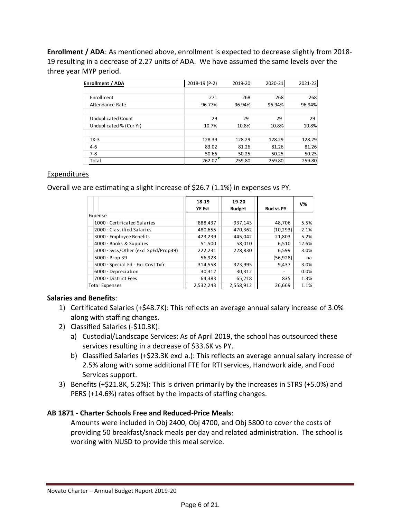**Enrollment / ADA**: As mentioned above, enrollment is expected to decrease slightly from 2018- 19 resulting in a decrease of 2.27 units of ADA. We have assumed the same levels over the three year MYP period.

| Enrollment / ADA          | 2018-19 (P-2) | 2019-20 | 2020-21 | 2021-22 |
|---------------------------|---------------|---------|---------|---------|
|                           |               |         |         |         |
| Enrollment                | 271           | 268     | 268     | 268     |
| <b>Attendance Rate</b>    | 96.77%        | 96.94%  | 96.94%  | 96.94%  |
| <b>Unduplicated Count</b> | 29            | 29      | 29      | 29      |
| Unduplicated % (Cur Yr)   | 10.7%         | 10.8%   | 10.8%   | 10.8%   |
| $TK-3$                    | 128.39        | 128.29  | 128.29  | 128.29  |
| $4 - 6$                   | 83.02         | 81.26   | 81.26   | 81.26   |
| $7-8$                     | 50.66         | 50.25   | 50.25   | 50.25   |
| Total                     | 262.07        | 259.80  | 259.80  | 259.80  |

### Expenditures

Overall we are estimating a slight increase of \$26.7 (1.1%) in expenses vs PY.

|                                      | 18-19<br><b>YE Est</b> | 19-20<br><b>Budget</b> | <b>Bud vs PY</b> | $V\%$   |
|--------------------------------------|------------------------|------------------------|------------------|---------|
| Expense                              |                        |                        |                  |         |
| 1000 · Certificated Salaries         | 888,437                | 937,143                | 48,706           | 5.5%    |
| $2000 \cdot$ Classified Salaries     | 480,655                | 470,362                | (10, 293)        | $-2.1%$ |
| 3000 · Employee Benefits             | 423,239                | 445,042                | 21,803           | 5.2%    |
| 4000 · Books & Supplies              | 51,500                 | 58,010                 | 6,510            | 12.6%   |
| 5000 · Svcs/Other (excl SpEd/Prop39) | 222,231                | 228.830                | 6,599            | 3.0%    |
| $5000 \cdot$ Prop 39                 | 56,928                 |                        | (56,928)         | nal     |
| 5000 · Special Ed - Exc Cost Txfr    | 314,558                | 323,995                | 9,437            | 3.0%    |
| $6000 \cdot$ Depreciation            | 30,312                 | 30,312                 |                  | 0.0%    |
| 7000 · District Fees                 | 64,383                 | 65,218                 | 835              | 1.3%    |
| Total Expenses                       | 2,532,243              | 2,558,912              | 26,669           | 1.1%    |

### **Salaries and Benefits**:

- 1) Certificated Salaries (+\$48.7K): This reflects an average annual salary increase of 3.0% along with staffing changes.
- 2) Classified Salaries (-\$10.3K):
	- a) Custodial/Landscape Services: As of April 2019, the school has outsourced these services resulting in a decrease of \$33.6K vs PY.
	- b) Classified Salaries (+\$23.3K excl a.): This reflects an average annual salary increase of 2.5% along with some additional FTE for RTI services, Handwork aide, and Food Services support.
- 3) Benefits (+\$21.8K, 5.2%): This is driven primarily by the increases in STRS (+5.0%) and PERS (+14.6%) rates offset by the impacts of staffing changes.

### **AB 1871 - Charter Schools Free and Reduced-Price Meals**:

Amounts were included in Obj 2400, Obj 4700, and Obj 5800 to cover the costs of providing 50 breakfast/snack meals per day and related administration. The school is working with NUSD to provide this meal service.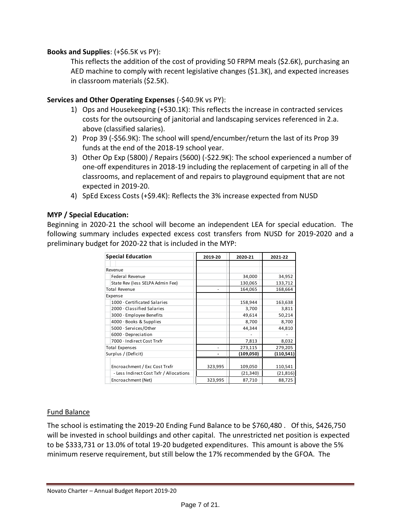### **Books and Supplies**: (+\$6.5K vs PY):

This reflects the addition of the cost of providing 50 FRPM meals (\$2.6K), purchasing an AED machine to comply with recent legislative changes (\$1.3K), and expected increases in classroom materials (\$2.5K).

### **Services and Other Operating Expenses** (-\$40.9K vs PY):

- 1) Ops and Housekeeping (+\$30.1K): This reflects the increase in contracted services costs for the outsourcing of janitorial and landscaping services referenced in 2.a. above (classified salaries).
- 2) Prop 39 (-\$56.9K): The school will spend/encumber/return the last of its Prop 39 funds at the end of the 2018-19 school year.
- 3) Other Op Exp (5800) / Repairs (5600) (-\$22.9K): The school experienced a number of one-off expenditures in 2018-19 including the replacement of carpeting in all of the classrooms, and replacement of and repairs to playground equipment that are not expected in 2019-20.
- 4) SpEd Excess Costs (+\$9.4K): Reflects the 3% increase expected from NUSD

### **MYP / Special Education:**

Beginning in 2020-21 the school will become an independent LEA for special education. The following summary includes expected excess cost transfers from NUSD for 2019-2020 and a preliminary budget for 2020-22 that is included in the MYP:

| <b>Special Education</b>                | 2019-20 | 2020-21    | 2021-22    |
|-----------------------------------------|---------|------------|------------|
|                                         |         |            |            |
| Revenue                                 |         |            |            |
| <b>Federal Revenue</b>                  |         | 34,000     | 34,952     |
| State Rev (less SELPA Admin Fee)        |         | 130,065    | 133,712    |
| <b>Total Revenue</b>                    |         | 164,065    | 168,664    |
| Expense                                 |         |            |            |
| 1000 · Certificated Salaries            |         | 158,944    | 163,638    |
| $2000 \cdot$ Classified Salaries        |         | 3,700      | 3,811      |
| 3000 · Employee Benefits                |         | 49,614     | 50,214     |
| 4000 · Books & Supplies                 |         | 8,700      | 8,700      |
| 5000 · Services/Other                   |         | 44,344     | 44,810     |
| 6000 Depreciation                       |         |            |            |
| 7000 · Indirect Cost Trxfr              |         | 7,813      | 8,032      |
| <b>Total Expenses</b>                   |         | 273,115    | 279,205    |
| Surplus / (Deficit)                     |         | (109, 050) | (110, 541) |
|                                         |         |            |            |
| Encroachment / Exc Cost Trxfr           | 323,995 | 109,050    | 110,541    |
| - Less Indirect Cost Txfr / Allocations |         | (21,340)   | (21, 816)  |
| Encroachment (Net)                      | 323,995 | 87,710     | 88,725     |

### Fund Balance

The school is estimating the 2019-20 Ending Fund Balance to be \$760,480 . Of this, \$426,750 will be invested in school buildings and other capital. The unrestricted net position is expected to be \$333,731 or 13.0% of total 19-20 budgeted expenditures. This amount is above the 5% minimum reserve requirement, but still below the 17% recommended by the GFOA. The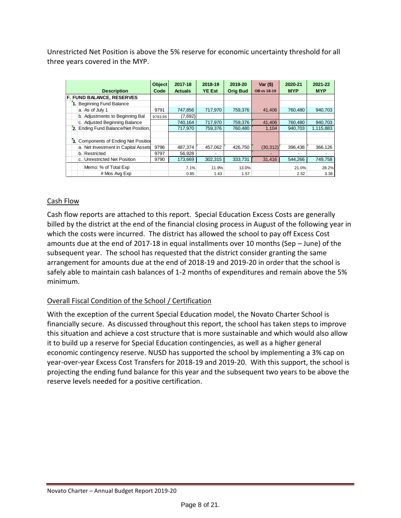Unrestricted Net Position is above the 5% reserve for economic uncertainty threshold for all three years covered in the MYP.

| <b>Description</b>                   | <b>Object</b><br>Code | 2017-18<br><b>Actuals</b> | 2018-19<br><b>YE Est</b> | 2019-20<br><b>Orig Bud</b> | Var $($ \$)<br><b>OB vs 18-19</b> | 2020-21<br><b>MYP</b> | 2021-22<br><b>MYP</b> |
|--------------------------------------|-----------------------|---------------------------|--------------------------|----------------------------|-----------------------------------|-----------------------|-----------------------|
| <b>F. FUND BALANCE, RESERVES</b>     |                       |                           |                          |                            |                                   |                       |                       |
| 1. Beginning Fund Balance            |                       |                           |                          |                            |                                   |                       |                       |
| a. As of July 1                      | 9791                  | 747,856                   | 717,970                  | 759,376                    | 41,406                            | 760,480               | 940,703               |
| b. Adjustments to Beginning Bal      | 9793.95               | (7,692)                   |                          |                            |                                   |                       |                       |
| c. Adjusted Beginning Balance        |                       | 740,164                   | 717,970                  | 759,376                    | 41,406                            | 760,480               | 940,703               |
| 2. Ending Fund Balance/Net Position, |                       | 717,970                   | 759,376                  | 760,480                    | 1,104                             | 940,703               | 1,115,883             |
|                                      |                       |                           |                          |                            |                                   |                       |                       |
| 3. Components of Ending Net Position |                       |                           |                          |                            |                                   |                       |                       |
| a. Net Investment in Capital Assets  | 9796                  | 487,374                   | 457,062                  | 426,750                    | (30, 312)                         | 396,438               | 366,126               |
| b. Restricted                        | 9797                  | 56,928                    |                          |                            |                                   |                       |                       |
| c. Unrestricted Net Position         | 9790                  | 173,669                   | 302,315                  | 333,731                    | 31,416                            | 544,266               | 749,758               |
| Memo: % of Total Exp                 |                       | 7.1%                      | 11.9%                    | 13.0%                      |                                   | 21.0%                 | 28.2%                 |
| # Mos Avg Exp                        |                       | 0.85                      | 1.43                     | 1.57                       |                                   | 2.52                  | 3.38                  |

### Cash Flow

Cash flow reports are attached to this report. Special Education Excess Costs are generally billed by the district at the end of the financial closing process in August of the following year in which the costs were incurred. The district has allowed the school to pay off Excess Cost amounts due at the end of 2017-18 in equal installments over 10 months (Sep – June) of the subsequent year. The school has requested that the district consider granting the same arrangement for amounts due at the end of 2018-19 and 2019-20 in order that the school is safely able to maintain cash balances of 1-2 months of expenditures and remain above the 5% minimum.

## Overall Fiscal Condition of the School / Certification

With the exception of the current Special Education model, the Novato Charter School is financially secure. As discussed throughout this report, the school has taken steps to improve this situation and achieve a cost structure that is more sustainable and which would also allow it to build up a reserve for Special Education contingencies, as well as a higher general economic contingency reserve. NUSD has supported the school by implementing a 3% cap on year-over-year Excess Cost Transfers for 2018-19 and 2019-20. With this support, the school is projecting the ending fund balance for this year and the subsequent two years to be above the reserve levels needed for a positive certification.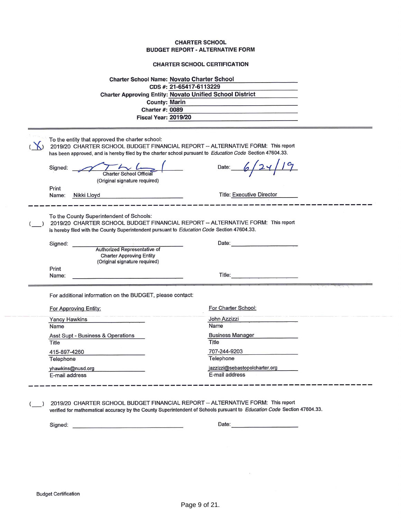### **CHARTER SCHOOL CERTIFICATION**

| <b>Charter School Name: Novato Charter School</b><br>CDS #: 21-65417-6113229<br><b>Charter Approving Entity: Novato Unified School District</b><br><b>County: Marin</b><br><b>Charter #: 0089</b><br><b>Fiscal Year: 2019/20</b>                                                      |                                  |
|---------------------------------------------------------------------------------------------------------------------------------------------------------------------------------------------------------------------------------------------------------------------------------------|----------------------------------|
| To the entity that approved the charter school:<br>2019/20 CHARTER SCHOOL BUDGET FINANCIAL REPORT -- ALTERNATIVE FORM: This report<br>has been approved, and is hereby filed by the charter school pursuant to Education Code Section 47604.33.<br>Signed:<br>Charter School Official | Date:                            |
| (Original signature required)<br>Print<br>Name:<br>Nikki Lloyd                                                                                                                                                                                                                        | <b>Title: Executive Director</b> |
| To the County Superintendent of Schools:<br>2019/20 CHARTER SCHOOL BUDGET FINANCIAL REPORT -- ALTERNATIVE FORM: This report<br>is hereby filed with the County Superintendent pursuant to Education Code Section 47604.33.                                                            |                                  |
| Signed:<br>Authorized Representative of<br><b>Charter Approving Entity</b><br>(Original signature required)                                                                                                                                                                           | Date:                            |
| Print<br>Name:                                                                                                                                                                                                                                                                        | <b>Title:</b> Title:             |
| For additional information on the BUDGET, please contact:                                                                                                                                                                                                                             |                                  |
| For Approving Entity:                                                                                                                                                                                                                                                                 | For Charter School:              |
| Yancy Hawkins                                                                                                                                                                                                                                                                         | John Azzizzi                     |
| Name                                                                                                                                                                                                                                                                                  | Name                             |
| Asst Supt - Business & Operations                                                                                                                                                                                                                                                     | <b>Business Manager</b>          |
| Title                                                                                                                                                                                                                                                                                 | Title                            |
| 415-897-4260                                                                                                                                                                                                                                                                          | 707-244-9203                     |
| Telephone                                                                                                                                                                                                                                                                             | Telephone                        |
| yhawkins@nusd.org                                                                                                                                                                                                                                                                     | jazzizzi@sebastopolcharter.org   |
| E-mail address                                                                                                                                                                                                                                                                        | E-mail address                   |
| $0.1001$ DUDGET FILIALIOIAL DEDGET                                                                                                                                                                                                                                                    | $A1$ TEDNATIVE FODM. This second |

) 2019/20 CHARTER SCHOOL BUDGET FINANCIAL REPORT -- ALTERNATIVE FORM: This report verified for mathematical accuracy by the County Superintendent of Schools pursuant to Education Code Section 47604.33.

 $\hat{\mathbf{x}}$ 

 $\left( \right)$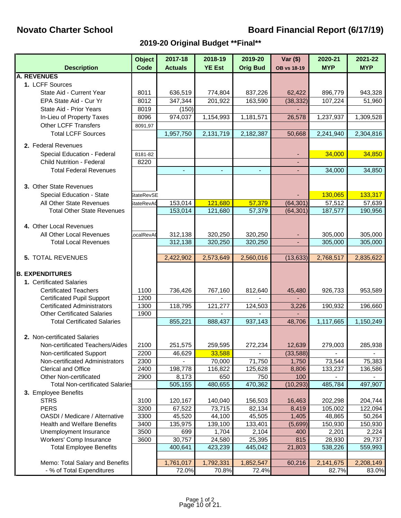# **Novato Charter School Novato Charter School Charter School Board Financial Report (6/17/19)**

# **2019-20 Original Budget \*\*Final\*\***

|                                                                          | <b>Object</b>     | 2017-18        | 2018-19       | 2019-20         | Var $($ \$)        | 2020-21        | 2021-22    |
|--------------------------------------------------------------------------|-------------------|----------------|---------------|-----------------|--------------------|----------------|------------|
| <b>Description</b>                                                       | Code              | <b>Actuals</b> | <b>YE Est</b> | <b>Orig Bud</b> | <b>OB vs 18-19</b> | <b>MYP</b>     | <b>MYP</b> |
| <b>A. REVENUES</b>                                                       |                   |                |               |                 |                    |                |            |
| 1. LCFF Sources                                                          |                   |                |               |                 |                    |                |            |
| State Aid - Current Year                                                 | 8011              | 636,519        | 774,804       | 837,226         | 62,422             | 896,779        | 943,328    |
| EPA State Aid - Cur Yr                                                   | 8012              | 347,344        | 201,922       | 163,590         | (38, 332)          | 107,224        | 51,960     |
| State Aid - Prior Years                                                  | 8019              | (150)          |               |                 |                    |                |            |
| In-Lieu of Property Taxes                                                | 8096              | 974,037        | 1,154,993     | 1,181,571       | 26,578             | 1,237,937      | 1,309,528  |
| <b>Other LCFF Transfers</b>                                              | 8091,97           |                |               |                 |                    |                |            |
| <b>Total LCFF Sources</b>                                                |                   | 1,957,750      | 2,131,719     | 2,182,387       | 50,668             | 2,241,940      | 2,304,816  |
| 2. Federal Revenues                                                      |                   |                |               |                 |                    |                |            |
| Special Education - Federal                                              | 8181-82           |                |               |                 |                    | 34,000         | 34,850     |
| <b>Child Nutrition - Federal</b>                                         | 8220              |                |               |                 |                    |                |            |
| <b>Total Federal Revenues</b>                                            |                   |                |               |                 |                    | 34,000         | 34,850     |
|                                                                          |                   |                |               |                 |                    |                |            |
| 3. Other State Revenues                                                  |                   |                |               |                 |                    |                |            |
| Special Education - State                                                | <b>StateRevSE</b> |                |               |                 |                    | 130,065        | 133,317    |
| All Other State Revenues                                                 | StateRevA0        | 153,014        | 121,680       | 57,379          | (64, 301)          | 57,512         | 57,639     |
| <b>Total Other State Revenues</b>                                        |                   | 153,014        | 121,680       | 57,379          | (64, 301)          | 187,577        | 190,956    |
|                                                                          |                   |                |               |                 |                    |                |            |
| 4. Other Local Revenues                                                  |                   |                |               |                 |                    |                |            |
| All Other Local Revenues                                                 | ocalRevA          | 312,138        | 320,250       | 320,250         |                    | 305,000        | 305,000    |
| <b>Total Local Revenues</b>                                              |                   | 312,138        | 320,250       | 320,250         |                    | 305,000        | 305,000    |
|                                                                          |                   |                |               |                 |                    |                |            |
| 5. TOTAL REVENUES                                                        |                   | 2,422,902      | 2,573,649     | 2,560,016       | (13, 633)          | 2,768,517      | 2,835,622  |
|                                                                          |                   |                |               |                 |                    |                |            |
| <b>B. EXPENDITURES</b>                                                   |                   |                |               |                 |                    |                |            |
| 1. Certificated Salaries                                                 |                   |                |               |                 |                    |                |            |
| <b>Certificated Teachers</b>                                             | 1100              | 736,426        | 767,160       | 812,640         | 45,480             | 926,733        | 953,589    |
| <b>Certificated Pupil Support</b>                                        | 1200              |                |               |                 |                    |                |            |
| <b>Certificated Administrators</b><br><b>Other Certificated Salaries</b> | 1300<br>1900      | 118,795        | 121,277       | 124,503         | 3,226              | 190,932        | 196,660    |
| <b>Total Certificated Salaries</b>                                       |                   | 855,221        | 888,437       | 937,143         | 48,706             | 1,117,665      | 1,150,249  |
|                                                                          |                   |                |               |                 |                    |                |            |
| 2. Non-certificated Salaries                                             |                   |                |               |                 |                    |                |            |
| Non-certificated Teachers/Aides                                          | 2100              | 251,575        | 259,595       | 272,234         | 12,639             | 279,003        | 285,938    |
| Non-certificated Support                                                 | 2200              | 46,629         | 33,588        |                 | (33, 588)          | $\blacksquare$ |            |
| Non-certificated Administrators                                          | 2300              |                | 70,000        | 71,750          | 1,750              | 73,544         | 75,383     |
| Clerical and Office                                                      | 2400              | 198,778        | 116,822       | 125,628         | 8,806              | 133,237        | 136,586    |
| Other Non-certificated                                                   | 2900              | 8,173          | 650           | 750             | 100                |                |            |
| <b>Total Non-certificated Salaries</b>                                   |                   | 505,155        | 480,655       | 470,362         | (10, 293)          | 485,784        | 497,907    |
| 3. Employee Benefits                                                     |                   |                |               |                 |                    |                |            |
| <b>STRS</b>                                                              | 3100              | 120,167        | 140,040       | 156,503         | 16,463             | 202,298        | 204,744    |
| <b>PERS</b>                                                              | 3200              | 67,522         | 73,715        | 82,134          | 8,419              | 105,002        | 122,094    |
| OASDI / Medicare / Alternative                                           | 3300              | 45,520         | 44,100        | 45,505          | 1,405              | 48,865         | 50,264     |
| <b>Health and Welfare Benefits</b>                                       | 3400              | 135,975        | 139,100       | 133,401         | (5,699)            | 150,930        | 150,930    |
| Unemployment Insurance                                                   | 3500              | 699            | 1,704         | 2,104           | 400                | 2,201          | 2,224      |
| Workers' Comp Insurance                                                  | 3600              | 30,757         | 24,580        | 25,395          | 815                | 28,930         | 29,737     |
| <b>Total Employee Benefits</b>                                           |                   | 400,641        | 423,239       | 445,042         | 21,803             | 538,226        | 559,993    |
|                                                                          |                   |                |               |                 |                    |                |            |
| Memo: Total Salary and Benefits                                          |                   | 1,761,017      | 1,792,331     | 1,852,547       | 60,216             | 2,141,675      | 2,208,149  |
| - % of Total Expenditures                                                |                   | 72.0%          | 70.8%         | 72.4%           |                    | 82.7%          | 83.0%      |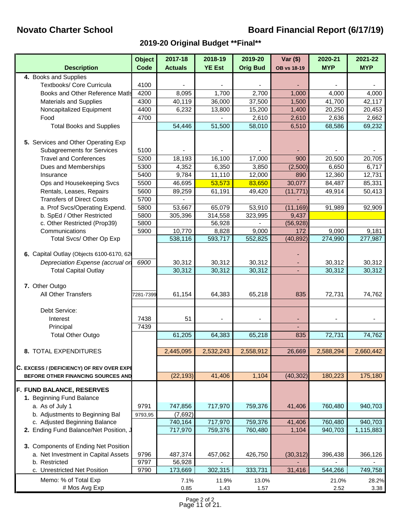# **Novato Charter School Novato Charter School Charter School Board Financial Report (6/17/19)**

## **2019-20 Original Budget \*\*Final\*\***

| <b>Description</b>                        | <b>Object</b><br>Code | 2017-18<br><b>Actuals</b> | 2018-19<br><b>YE Est</b> | 2019-20<br><b>Orig Bud</b> | $Var($)$<br><b>OB vs 18-19</b> | 2020-21<br><b>MYP</b> | 2021-22<br><b>MYP</b> |
|-------------------------------------------|-----------------------|---------------------------|--------------------------|----------------------------|--------------------------------|-----------------------|-----------------------|
| 4. Books and Supplies                     |                       |                           |                          |                            |                                |                       |                       |
| Textbooks/ Core Curricula                 | 4100                  |                           |                          |                            |                                |                       |                       |
| Books and Other Reference Matls           | 4200                  | 8,095                     | 1,700                    | 2,700                      | 1,000                          | 4,000                 | 4,000                 |
| <b>Materials and Supplies</b>             | 4300                  | 40,119                    | 36,000                   | 37,500                     | 1,500                          | 41,700                | 42,117                |
| Noncapitalized Equipment                  | 4400                  | 6,232                     | 13,800                   | 15,200                     | 1,400                          | 20,250                | 20,453                |
| Food                                      | 4700                  |                           |                          | 2,610                      | 2,610                          | 2,636                 | 2,662                 |
| <b>Total Books and Supplies</b>           |                       | 54,446                    | 51,500                   | 58,010                     | 6,510                          | 68,586                | 69,232                |
|                                           |                       |                           |                          |                            |                                |                       |                       |
| 5. Services and Other Operating Exp       |                       |                           |                          |                            |                                |                       |                       |
| <b>Subagreements for Services</b>         | 5100                  |                           |                          |                            |                                |                       |                       |
| <b>Travel and Conferences</b>             | 5200                  | 18,193                    | 16,100                   | 17,000                     | 900                            | 20,500                | 20,705                |
| Dues and Memberships                      | 5300                  | 4,352                     | 6,350                    | 3,850                      | (2,500)                        | 6,650                 | 6,717                 |
| Insurance                                 | 5400                  | 9,784                     | 11,110                   | 12,000                     | 890                            | 12,360                | 12,731                |
| Ops and Housekeeping Svcs                 | 5500                  | 46,695                    | 53,573                   | 83,650                     | 30,077                         | 84,487                | 85,331                |
| Rentals, Leases, Repairs                  | 5600                  | 89,259                    | 61,191                   | 49,420                     | (11, 771)                      | 49,914                | 50,413                |
| <b>Transfers of Direct Costs</b>          | 5700                  |                           |                          |                            |                                |                       |                       |
| a. Prof Svcs/Operating Expend.            | 5800                  | 53,667                    | 65,079                   | 53,910                     | (11, 169)                      | 91,989                | 92,909                |
| b. SpEd / Other Restricted                | 5800                  | 305,396                   | 314,558                  | 323,995                    | 9,437                          |                       |                       |
| c. Other Restricted (Prop39)              | 5800                  |                           | 56,928                   |                            | (56, 928)                      |                       |                       |
| Communications                            | 5900                  | 10,770                    | 8,828                    | 9,000                      | 172                            | 9,090                 | 9,181                 |
| Total Svcs/ Other Op Exp                  |                       | 538,116                   | 593,717                  | 552,825                    | (40, 892)                      | 274,990               | 277,987               |
|                                           |                       |                           |                          |                            |                                |                       |                       |
| 6. Capital Outlay (Objects 6100-6170, 62  |                       |                           |                          |                            |                                |                       |                       |
| Depreciation Expense (accrual or          | 6900                  | 30,312                    | 30,312                   | 30,312                     |                                | 30,312                | 30,312                |
| <b>Total Capital Outlay</b>               |                       | 30,312                    | 30,312                   | 30,312                     | $\overline{\phantom{a}}$       | 30,312                | 30,312                |
|                                           |                       |                           |                          |                            |                                |                       |                       |
| 7. Other Outgo                            |                       |                           |                          |                            |                                |                       |                       |
| All Other Transfers                       | 7281-7399             | 61,154                    | 64,383                   | 65,218                     | 835                            | 72,731                | 74,762                |
|                                           |                       |                           |                          |                            |                                |                       |                       |
| Debt Service:                             |                       |                           |                          |                            |                                |                       |                       |
| Interest                                  | 7438                  | 51                        | $\blacksquare$           |                            |                                |                       |                       |
| Principal                                 | 7439                  |                           |                          |                            |                                |                       |                       |
| <b>Total Other Outgo</b>                  |                       | 61,205                    | 64,383                   | 65,218                     | 835                            | 72,731                | 74,762                |
|                                           |                       |                           |                          |                            |                                |                       |                       |
| 8. TOTAL EXPENDITURES                     |                       | 2,445,095                 | 2,532,243                | 2,558,912                  | 26,669                         | 2,588,294             | 2,660,442             |
|                                           |                       |                           |                          |                            |                                |                       |                       |
| C. EXCESS / (DEFICIENCY) OF REV OVER EXPI |                       |                           |                          |                            |                                |                       |                       |
| BEFORE OTHER FINANCING SOURCES AND        |                       | (22, 193)                 | 41,406                   | 1,104                      | (40, 302)                      | 180,223               | 175,180               |
| F. FUND BALANCE, RESERVES                 |                       |                           |                          |                            |                                |                       |                       |
| 1. Beginning Fund Balance                 |                       |                           |                          |                            |                                |                       |                       |
| a. As of July 1                           | 9791                  | 747,856                   | 717,970                  | 759,376                    | 41,406                         | 760,480               | 940,703               |
| b. Adjustments to Beginning Bal           | 9793,95               | (7,692)                   |                          |                            |                                |                       |                       |
| c. Adjusted Beginning Balance             |                       | 740,164                   | 717,970                  | 759,376                    | 41,406                         | 760,480               | 940,703               |
| 2. Ending Fund Balance/Net Position, J    |                       | 717,970                   | 759,376                  | 760,480                    | 1,104                          | 940,703               | 1,115,883             |
|                                           |                       |                           |                          |                            |                                |                       |                       |
| 3. Components of Ending Net Position      |                       |                           |                          |                            |                                |                       |                       |
| a. Net Investment in Capital Assets       | 9796                  | 487,374                   | 457,062                  | 426,750                    | (30, 312)                      | 396,438               | 366,126               |
| b. Restricted                             | 9797                  | 56,928                    |                          |                            |                                |                       |                       |
| c. Unrestricted Net Position              | 9790                  | 173,669                   | 302,315                  | 333,731                    | 31,416                         | 544,266               | 749,758               |
|                                           |                       |                           |                          |                            |                                |                       |                       |
| Memo: % of Total Exp                      |                       | 7.1%                      | 11.9%                    | 13.0%                      |                                | 21.0%                 | 28.2%                 |
| # Mos Avg Exp                             |                       | 0.85                      | 1.43                     | 1.57                       |                                | 2.52                  | 3.38                  |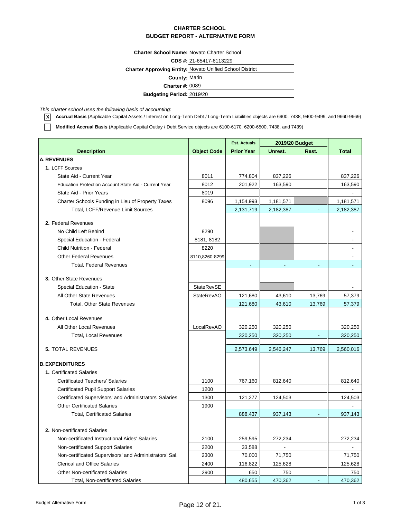**Charter School Name:** Novato Charter School

**CDS #:** 21-65417-6113229

**Charter Approving Entity:** Novato Unified School District

**County:** Marin

**Charter #:** 0089

**Budgeting Period:** 2019/20

*This charter school uses the following basis of accounting:*

Г

**X Accrual Basis** (Applicable Capital Assets / Interest on Long-Term Debt / Long-Term Liabilities objects are 6900, 7438, 9400-9499, and 9660-9669)

**Modified Accrual Basis** (Applicable Capital Outlay / Debt Service objects are 6100-6170, 6200-6500, 7438, and 7439)

|                                                        |                    | <b>Est. Actuals</b> | 2019/20 Budget |                          |                          |
|--------------------------------------------------------|--------------------|---------------------|----------------|--------------------------|--------------------------|
| <b>Description</b>                                     | <b>Object Code</b> | <b>Prior Year</b>   | Unrest.        | Rest.                    | <b>Total</b>             |
| <b>A. REVENUES</b>                                     |                    |                     |                |                          |                          |
| 1. LCFF Sources                                        |                    |                     |                |                          |                          |
| State Aid - Current Year                               | 8011               | 774,804             | 837,226        |                          | 837,226                  |
| Education Protection Account State Aid - Current Year  | 8012               | 201,922             | 163,590        |                          | 163,590                  |
| State Aid - Prior Years                                | 8019               |                     |                |                          |                          |
| Charter Schools Funding in Lieu of Property Taxes      | 8096               | 1,154,993           | 1,181,571      |                          | 1,181,571                |
| Total, LCFF/Revenue Limit Sources                      |                    | 2,131,719           | 2,182,387      |                          | 2,182,387                |
|                                                        |                    |                     |                |                          |                          |
| 2. Federal Revenues                                    |                    |                     |                |                          |                          |
| No Child Left Behind                                   | 8290               |                     |                |                          | $\overline{\phantom{a}}$ |
| Special Education - Federal                            | 8181, 8182         |                     |                |                          | $\blacksquare$           |
| <b>Child Nutrition - Federal</b>                       | 8220               |                     |                |                          |                          |
| <b>Other Federal Revenues</b>                          | 8110,8260-8299     |                     |                |                          |                          |
| <b>Total, Federal Revenues</b>                         |                    | $\blacksquare$      | $\blacksquare$ | $\overline{\phantom{a}}$ | ٠                        |
| 3. Other State Revenues                                |                    |                     |                |                          |                          |
| Special Education - State                              | <b>StateRevSE</b>  |                     |                |                          |                          |
| All Other State Revenues                               | <b>StateRevAO</b>  | 121,680             | 43,610         | 13,769                   | 57,379                   |
| <b>Total, Other State Revenues</b>                     |                    | 121,680             | 43,610         | 13,769                   | 57,379                   |
|                                                        |                    |                     |                |                          |                          |
| 4. Other Local Revenues                                |                    |                     |                |                          |                          |
| All Other Local Revenues                               | LocalRevAO         | 320,250             | 320,250        |                          | 320,250                  |
| <b>Total, Local Revenues</b>                           |                    | 320,250             | 320,250        | $\blacksquare$           | 320,250                  |
| <b>5. TOTAL REVENUES</b>                               |                    | 2,573,649           | 2,546,247      | 13,769                   | 2,560,016                |
|                                                        |                    |                     |                |                          |                          |
| <b>B. EXPENDITURES</b>                                 |                    |                     |                |                          |                          |
| 1. Certificated Salaries                               |                    |                     |                |                          |                          |
| <b>Certificated Teachers' Salaries</b>                 | 1100               | 767,160             | 812,640        |                          | 812,640                  |
| <b>Certificated Pupil Support Salaries</b>             | 1200               |                     |                |                          |                          |
| Certificated Supervisors' and Administrators' Salaries | 1300               | 121,277             | 124,503        |                          | 124,503                  |
| <b>Other Certificated Salaries</b>                     | 1900               |                     |                |                          |                          |
| <b>Total, Certificated Salaries</b>                    |                    | 888,437             | 937,143        | $\blacksquare$           | 937,143                  |
|                                                        |                    |                     |                |                          |                          |
| 2. Non-certificated Salaries                           |                    |                     |                |                          |                          |
| Non-certificated Instructional Aides' Salaries         | 2100               | 259,595             | 272,234        |                          | 272,234                  |
| Non-certificated Support Salaries                      | 2200               | 33,588              |                |                          |                          |
| Non-certificated Supervisors' and Administrators' Sal. | 2300               | 70,000              | 71,750         |                          | 71,750                   |
| <b>Clerical and Office Salaries</b>                    | 2400               | 116,822             | 125,628        |                          | 125,628                  |
| <b>Other Non-certificated Salaries</b>                 | 2900               | 650                 | 750            |                          | 750                      |
| Total, Non-certificated Salaries                       |                    | 480,655             | 470,362        |                          | 470,362                  |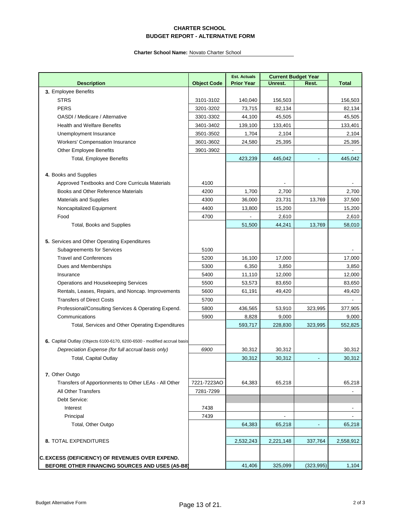|                                                                          |                    | <b>Est. Actuals</b> | <b>Current Budget Year</b> |            |              |  |
|--------------------------------------------------------------------------|--------------------|---------------------|----------------------------|------------|--------------|--|
| <b>Description</b>                                                       | <b>Object Code</b> | <b>Prior Year</b>   | Unrest.                    | Rest.      | <b>Total</b> |  |
| 3. Employee Benefits                                                     |                    |                     |                            |            |              |  |
| <b>STRS</b>                                                              | 3101-3102          | 140,040             | 156,503                    |            | 156,503      |  |
| <b>PERS</b>                                                              | 3201-3202          | 73,715              | 82,134                     |            | 82,134       |  |
| OASDI / Medicare / Alternative                                           | 3301-3302          | 44,100              | 45,505                     |            | 45,505       |  |
| <b>Health and Welfare Benefits</b>                                       | 3401-3402          | 139,100             | 133,401                    |            | 133,401      |  |
| Unemployment Insurance                                                   | 3501-3502          | 1,704               | 2,104                      |            | 2,104        |  |
| Workers' Compensation Insurance                                          | 3601-3602          | 24,580              | 25,395                     |            | 25,395       |  |
| Other Employee Benefits                                                  | 3901-3902          |                     |                            |            |              |  |
| <b>Total, Employee Benefits</b>                                          |                    | 423,239             | 445,042                    |            | 445,042      |  |
|                                                                          |                    |                     |                            |            |              |  |
| 4. Books and Supplies                                                    |                    |                     |                            |            |              |  |
| Approved Textbooks and Core Curricula Materials                          | 4100               |                     |                            |            |              |  |
| Books and Other Reference Materials                                      | 4200               | 1,700               | 2,700                      |            | 2,700        |  |
| <b>Materials and Supplies</b>                                            | 4300               | 36,000              | 23,731                     | 13,769     | 37,500       |  |
| Noncapitalized Equipment                                                 | 4400               | 13,800              | 15,200                     |            | 15,200       |  |
| Food                                                                     | 4700               |                     | 2,610                      |            | 2,610        |  |
| <b>Total, Books and Supplies</b>                                         |                    | 51,500              | 44,241                     | 13,769     | 58,010       |  |
|                                                                          |                    |                     |                            |            |              |  |
| 5. Services and Other Operating Expenditures                             |                    |                     |                            |            |              |  |
| Subagreements for Services                                               | 5100               |                     |                            |            |              |  |
| <b>Travel and Conferences</b>                                            | 5200               | 16,100              | 17,000                     |            | 17,000       |  |
| Dues and Memberships                                                     | 5300               | 6,350               | 3,850                      |            | 3,850        |  |
| Insurance                                                                | 5400               | 11,110              | 12,000                     |            | 12,000       |  |
| Operations and Housekeeping Services                                     | 5500               | 53,573              | 83,650                     |            | 83,650       |  |
| Rentals, Leases, Repairs, and Noncap. Improvements                       | 5600               | 61,191              | 49,420                     |            | 49,420       |  |
| <b>Transfers of Direct Costs</b>                                         | 5700               |                     |                            |            |              |  |
| Professional/Consulting Services & Operating Expend.                     | 5800               | 436,565             | 53,910                     | 323,995    | 377,905      |  |
| Communications                                                           | 5900               | 8,828               | 9,000                      |            | 9,000        |  |
| Total, Services and Other Operating Expenditures                         |                    | 593,717             | 228,830                    | 323,995    | 552,825      |  |
|                                                                          |                    |                     |                            |            |              |  |
| 6. Capital Outlay (Objects 6100-6170, 6200-6500 - modified accrual basis |                    |                     |                            |            |              |  |
| Depreciation Expense (for full accrual basis only)                       | 6900               | 30,312              | 30,312                     |            | 30,312       |  |
| <b>Total, Capital Outlay</b>                                             |                    | 30,312              | 30,312                     |            | 30,312       |  |
|                                                                          |                    |                     |                            |            |              |  |
| 7. Other Outgo                                                           |                    |                     |                            |            |              |  |
| Transfers of Apportionments to Other LEAs - All Other                    | 7221-7223AO        | 64,383              | 65,218                     |            | 65,218       |  |
| All Other Transfers                                                      | 7281-7299          |                     |                            |            |              |  |
| Debt Service:                                                            |                    |                     |                            |            |              |  |
| Interest                                                                 | 7438               |                     |                            |            | -            |  |
| Principal                                                                | 7439               |                     |                            |            |              |  |
| Total, Other Outgo                                                       |                    | 64,383              | 65,218                     |            | 65,218       |  |
|                                                                          |                    |                     |                            |            |              |  |
| 8. TOTAL EXPENDITURES                                                    |                    | 2,532,243           | 2,221,148                  | 337,764    | 2,558,912    |  |
|                                                                          |                    |                     |                            |            |              |  |
| <b>C. EXCESS (DEFICIENCY) OF REVENUES OVER EXPEND.</b>                   |                    |                     |                            |            |              |  |
| BEFORE OTHER FINANCING SOURCES AND USES (A5-B8)                          |                    | 41,406              | 325,099                    | (323, 995) | 1,104        |  |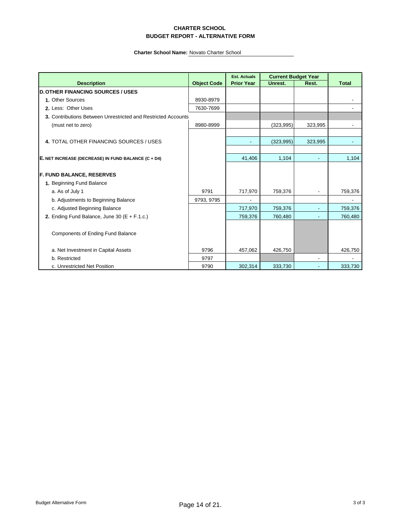|                                                               |                    | <b>Est. Actuals</b> | <b>Current Budget Year</b> |                |              |
|---------------------------------------------------------------|--------------------|---------------------|----------------------------|----------------|--------------|
| <b>Description</b>                                            | <b>Object Code</b> | <b>Prior Year</b>   | Unrest.                    | Rest.          | <b>Total</b> |
| <b>D. OTHER FINANCING SOURCES / USES</b>                      |                    |                     |                            |                |              |
| 1. Other Sources                                              | 8930-8979          |                     |                            |                |              |
| 2. Less: Other Uses                                           | 7630-7699          |                     |                            |                |              |
| 3. Contributions Between Unrestricted and Restricted Accounts |                    |                     |                            |                |              |
| (must net to zero)                                            | 8980-8999          |                     | (323, 995)                 | 323,995        |              |
|                                                               |                    |                     |                            |                |              |
| 4. TOTAL OTHER FINANCING SOURCES / USES                       |                    |                     | (323, 995)                 | 323,995        |              |
| E. NET INCREASE (DECREASE) IN FUND BALANCE (C + D4)           |                    | 41,406              | 1,104                      | $\blacksquare$ | 1,104        |
| <b>F. FUND BALANCE, RESERVES</b>                              |                    |                     |                            |                |              |
| 1. Beginning Fund Balance                                     |                    |                     |                            |                |              |
| a. As of July 1                                               | 9791               | 717,970             | 759,376                    |                | 759,376      |
| b. Adjustments to Beginning Balance                           | 9793, 9795         |                     |                            |                |              |
| c. Adjusted Beginning Balance                                 |                    | 717,970             | 759,376                    |                | 759,376      |
| 2. Ending Fund Balance, June 30 ( $E + F.1.c$ .)              |                    | 759,376             | 760,480                    |                | 760,480      |
| <b>Components of Ending Fund Balance</b>                      |                    |                     |                            |                |              |
| a. Net Investment in Capital Assets                           | 9796               | 457,062             | 426,750                    |                | 426,750      |
| b. Restricted                                                 | 9797               |                     |                            |                |              |
| c. Unrestricted Net Position                                  | 9790               | 302,314             | 333,730                    |                | 333,730      |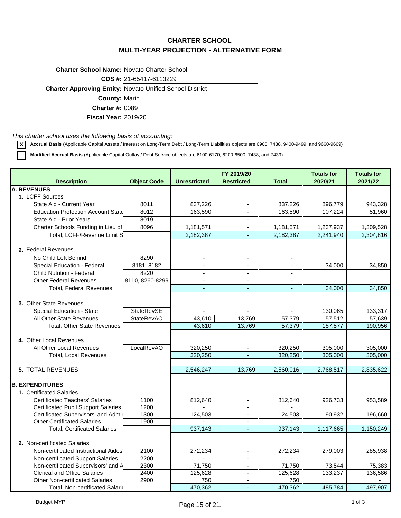### **CHARTER SCHOOL MULTI-YEAR PROJECTION - ALTERNATIVE FORM**

| <b>Charter School Name: Novato Charter School</b> |                                                                 |
|---------------------------------------------------|-----------------------------------------------------------------|
|                                                   | CDS #: 21-65417-6113229                                         |
|                                                   | <b>Charter Approving Entity: Novato Unified School District</b> |
| <b>County: Marin</b>                              |                                                                 |
| <b>Charter #: 0089</b>                            |                                                                 |
| <b>Fiscal Year: 2019/20</b>                       |                                                                 |

*This charter school uses the following basis of accounting:*

**X Accrual Basis** (Applicable Capital Assets / Interest on Long-Term Debt / Long-Term Liabilities objects are 6900, 7438, 9400-9499, and 9660-9669)

**Modified Accrual Basis** (Applicable Capital Outlay / Debt Service objects are 6100-6170, 6200-6500, 7438, and 7439)

|                                            |                    |                     | FY 2019/20               | <b>Totals for</b> | <b>Totals for</b> |           |
|--------------------------------------------|--------------------|---------------------|--------------------------|-------------------|-------------------|-----------|
| <b>Description</b>                         | <b>Object Code</b> | <b>Unrestricted</b> | <b>Restricted</b>        | <b>Total</b>      | 2020/21           | 2021/22   |
| <b>A. REVENUES</b>                         |                    |                     |                          |                   |                   |           |
| 1. LCFF Sources                            |                    |                     |                          |                   |                   |           |
| State Aid - Current Year                   | 8011               | 837,226             | $\overline{\phantom{a}}$ | 837,226           | 896,779           | 943,328   |
| <b>Education Protection Account State</b>  | 8012               | 163,590             | $\blacksquare$           | 163,590           | 107,224           | 51,960    |
| State Aid - Prior Years                    | 8019               |                     | $\blacksquare$           | $\sim$            |                   |           |
| Charter Schools Funding in Lieu of         | 8096               | 1,181,571           |                          | 1,181,571         | 1,237,937         | 1,309,528 |
| Total, LCFF/Revenue Limit S                |                    | 2,182,387           | $\omega$                 | 2,182,387         | 2,241,940         | 2,304,816 |
|                                            |                    |                     |                          |                   |                   |           |
| 2. Federal Revenues                        |                    |                     |                          |                   |                   |           |
| No Child Left Behind                       | 8290               |                     |                          |                   |                   |           |
| Special Education - Federal                | 8181, 8182         | $\blacksquare$      | $\mathbf{r}$             | $\blacksquare$    | 34,000            | 34,850    |
| <b>Child Nutrition - Federal</b>           | 8220               | $\blacksquare$      | $\blacksquare$           |                   |                   |           |
| <b>Other Federal Revenues</b>              | 8110, 8260-8299    | $\overline{a}$      | $\overline{\phantom{a}}$ | $\overline{a}$    |                   |           |
| <b>Total, Federal Revenues</b>             |                    |                     | $\tilde{\phantom{a}}$    |                   | 34,000            | 34,850    |
|                                            |                    |                     |                          |                   |                   |           |
| 3. Other State Revenues                    |                    |                     |                          |                   |                   |           |
| Special Education - State                  | <b>StateRevSE</b>  |                     |                          |                   | 130,065           | 133,317   |
| All Other State Revenues                   | <b>StateRevAO</b>  | 43,610              | 13,769                   | 57,379            | 57,512            | 57,639    |
| <b>Total. Other State Revenues</b>         |                    | 43,610              | 13,769                   | 57,379            | 187,577           | 190,956   |
|                                            |                    |                     |                          |                   |                   |           |
| 4. Other Local Revenues                    |                    |                     |                          |                   |                   |           |
| All Other Local Revenues                   | LocalRevAO         | 320,250             |                          | 320,250           | 305,000           | 305,000   |
| <b>Total, Local Revenues</b>               |                    | 320.250             |                          | 320,250           | 305,000           | 305,000   |
|                                            |                    |                     |                          |                   |                   |           |
| <b>5. TOTAL REVENUES</b>                   |                    | 2,546,247           | 13,769                   | 2,560,016         | 2,768,517         | 2,835,622 |
|                                            |                    |                     |                          |                   |                   |           |
| <b>B. EXPENDITURES</b>                     |                    |                     |                          |                   |                   |           |
| 1. Certificated Salaries                   |                    |                     |                          |                   |                   |           |
| <b>Certificated Teachers' Salaries</b>     | 1100               | 812,640             |                          | 812,640           | 926,733           | 953,589   |
| <b>Certificated Pupil Support Salaries</b> | 1200               |                     |                          |                   |                   |           |
| Certificated Supervisors' and Admir        | 1300               | 124,503             | $\blacksquare$           | 124,503           | 190,932           | 196,660   |
| <b>Other Certificated Salaries</b>         | 1900               |                     | $\blacksquare$           |                   |                   |           |
| <b>Total, Certificated Salaries</b>        |                    | 937,143             | $\blacksquare$           | 937,143           | 1,117,665         | 1,150,249 |
|                                            |                    |                     |                          |                   |                   |           |
| 2. Non-certificated Salaries               |                    |                     |                          |                   |                   |           |
| Non-certificated Instructional Aides       | 2100               | 272,234             | $\overline{\phantom{a}}$ | 272,234           | 279,003           | 285,938   |
| Non-certificated Support Salaries          | 2200               |                     | $\blacksquare$           | $\sim$            |                   |           |
| Non-certificated Supervisors' and A        | 2300               | 71,750              |                          | 71,750            | 73,544            | 75,383    |
| <b>Clerical and Office Salaries</b>        | 2400               | 125,628             | $\overline{\phantom{a}}$ | 125,628           | 133,237           | 136,586   |
| <b>Other Non-certificated Salaries</b>     | 2900               | 750                 | $\blacksquare$           | 750               |                   |           |
| Total, Non-certificated Salari             |                    | 470,362             | $\overline{a}$           | 470,362           | 485,784           | 497,907   |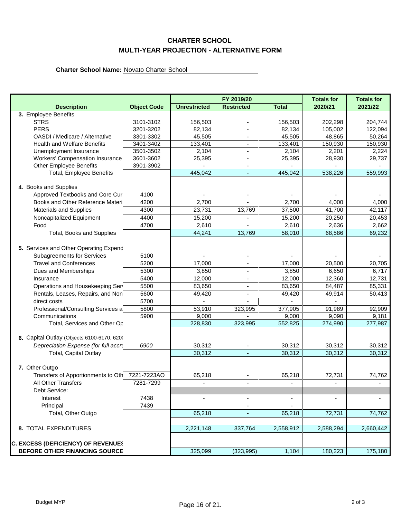### **CHARTER SCHOOL MULTI-YEAR PROJECTION - ALTERNATIVE FORM**

|                                           |                    |                     | FY 2019/20               |              | <b>Totals for</b> | <b>Totals for</b> |
|-------------------------------------------|--------------------|---------------------|--------------------------|--------------|-------------------|-------------------|
| <b>Description</b>                        | <b>Object Code</b> | <b>Unrestricted</b> | <b>Restricted</b>        | <b>Total</b> | 2020/21           | 2021/22           |
| 3. Employee Benefits                      |                    |                     |                          |              |                   |                   |
| <b>STRS</b>                               | 3101-3102          | 156,503             | $\overline{\phantom{a}}$ | 156,503      | 202,298           | 204,744           |
| <b>PERS</b>                               | 3201-3202          | 82,134              |                          | 82,134       | 105,002           | 122,094           |
| OASDI / Medicare / Alternative            | 3301-3302          | 45,505              |                          | 45,505       | 48,865            | 50,264            |
| <b>Health and Welfare Benefits</b>        | 3401-3402          | 133,401             | $\overline{\phantom{a}}$ | 133,401      | 150,930           | 150,930           |
| Unemployment Insurance                    | 3501-3502          | 2,104               |                          | 2,104        | 2,201             | 2,224             |
| <b>Workers' Compensation Insurance</b>    | 3601-3602          | 25,395              | $\overline{a}$           | 25,395       | 28,930            | 29,737            |
| <b>Other Employee Benefits</b>            | 3901-3902          |                     | $\overline{\phantom{a}}$ |              |                   |                   |
| Total, Employee Benefits                  |                    | 445,042             | ٠                        | 445,042      | 538,226           | 559,993           |
|                                           |                    |                     |                          |              |                   |                   |
| 4. Books and Supplies                     |                    |                     |                          |              |                   |                   |
| Approved Textbooks and Core Cur           | 4100               |                     |                          |              |                   |                   |
| Books and Other Reference Materi          | 4200               | $\overline{2,700}$  |                          | 2,700        | 4,000             | 4,000             |
| <b>Materials and Supplies</b>             | 4300               | 23,731              | 13,769                   | 37,500       | 41,700            | 42,117            |
| Noncapitalized Equipment                  | 4400               | 15,200              |                          | 15,200       | 20,250            | 20,453            |
| Food                                      | 4700               | 2,610               |                          | 2,610        | 2,636             | 2,662             |
| Total, Books and Supplies                 |                    | 44,241              | 13,769                   | 58,010       | 68,586            | 69,232            |
|                                           |                    |                     |                          |              |                   |                   |
| 5. Services and Other Operating Expend    |                    |                     |                          |              |                   |                   |
| <b>Subagreements for Services</b>         | 5100               |                     | $\blacksquare$           |              |                   |                   |
| <b>Travel and Conferences</b>             | 5200               | 17,000              | $\overline{\phantom{a}}$ | 17,000       | 20,500            | 20,705            |
| Dues and Memberships                      | 5300               | 3,850               | $\overline{\phantom{a}}$ | 3,850        | 6,650             | 6,717             |
| Insurance                                 | 5400               | 12,000              | $\overline{\phantom{a}}$ | 12,000       | 12,360            | 12,731            |
| Operations and Housekeeping Ser           | 5500               | 83,650              | $\overline{\phantom{a}}$ | 83,650       | 84,487            | 85,331            |
| Rentals, Leases, Repairs, and Non         | 5600               | 49,420              | $\blacksquare$           | 49,420       | 49,914            | 50,413            |
| direct costs                              | 5700               |                     |                          |              |                   |                   |
| Professional/Consulting Services a        | 5800               | 53,910              | 323,995                  | 377,905      | 91,989            | 92,909            |
| Communications                            | 5900               | 9,000               |                          | 9,000        | 9,090             | 9,181             |
| Total, Services and Other Op              |                    | 228,830             | 323,995                  | 552,825      | 274,990           | 277,987           |
|                                           |                    |                     |                          |              |                   |                   |
| 6. Capital Outlay (Objects 6100-6170, 620 |                    |                     |                          |              |                   |                   |
| Depreciation Expense (for full accri      | 6900               | 30,312              | $\overline{\phantom{a}}$ | 30,312       | 30,312            | 30,312            |
| <b>Total, Capital Outlay</b>              |                    | 30,312              | ٠                        | 30,312       | 30,312            | 30,312            |
|                                           |                    |                     |                          |              |                   |                   |
| 7. Other Outgo                            |                    |                     |                          |              |                   |                   |
| Transfers of Apportionments to Oth        | 7221-7223AO        | 65,218              |                          | 65,218       | 72,731            | 74,762            |
| All Other Transfers                       | 7281-7299          |                     |                          |              |                   |                   |
| Debt Service:                             |                    |                     |                          |              |                   |                   |
| Interest                                  | 7438               |                     | $\overline{\phantom{a}}$ |              | ٠                 |                   |
| Principal                                 | 7439               |                     |                          |              |                   |                   |
| Total, Other Outgo                        |                    | 65,218              | $\blacksquare$           | 65,218       | 72,731            | 74,762            |
|                                           |                    |                     |                          |              |                   |                   |
| <b>8. TOTAL EXPENDITURES</b>              |                    | 2,221,148           | 337,764                  | 2,558,912    | 2,588,294         | 2,660,442         |
|                                           |                    |                     |                          |              |                   |                   |
| <b>C. EXCESS (DEFICIENCY) OF REVENUES</b> |                    |                     |                          |              |                   |                   |
| <b>BEFORE OTHER FINANCING SOURCE</b>      |                    | 325,099             | (323, 995)               | 1,104        | 180,223           | 175,180           |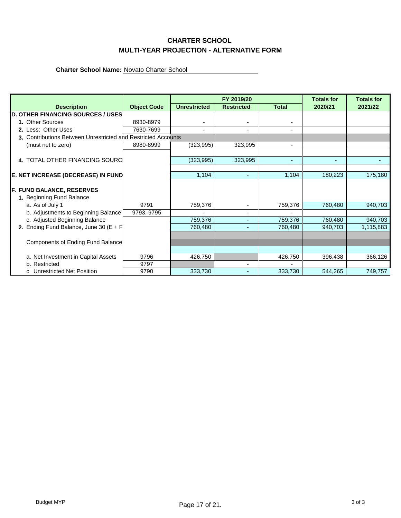### **CHARTER SCHOOL MULTI-YEAR PROJECTION - ALTERNATIVE FORM**

|                                                               |                    |                          | FY 2019/20               | <b>Totals for</b> | <b>Totals for</b> |           |
|---------------------------------------------------------------|--------------------|--------------------------|--------------------------|-------------------|-------------------|-----------|
| <b>Description</b>                                            | <b>Object Code</b> | <b>Unrestricted</b>      | <b>Restricted</b>        | <b>Total</b>      | 2020/21           | 2021/22   |
| <b>D. OTHER FINANCING SOURCES / USES</b>                      |                    |                          |                          |                   |                   |           |
| 1. Other Sources                                              | 8930-8979          | $\overline{\phantom{0}}$ | $\blacksquare$           |                   |                   |           |
| 2. Less: Other Uses                                           | 7630-7699          | ٠                        | $\blacksquare$           | ٠                 |                   |           |
| 3. Contributions Between Unrestricted and Restricted Accounts |                    |                          |                          |                   |                   |           |
| (must net to zero)                                            | 8980-8999          | (323, 995)               | 323,995                  | $\blacksquare$    |                   |           |
|                                                               |                    |                          |                          |                   |                   |           |
| 4. TOTAL OTHER FINANCING SOURC                                |                    | (323, 995)               | 323,995                  | ٠                 | $\overline{a}$    |           |
|                                                               |                    |                          |                          |                   |                   |           |
| E. NET INCREASE (DECREASE) IN FUND                            |                    | 1,104                    | ٠                        | 1,104             | 180,223           | 175,180   |
|                                                               |                    |                          |                          |                   |                   |           |
| <b>F. FUND BALANCE, RESERVES</b>                              |                    |                          |                          |                   |                   |           |
| 1. Beginning Fund Balance                                     |                    |                          |                          |                   |                   |           |
| a. As of July 1                                               | 9791               | 759,376                  | $\blacksquare$           | 759,376           | 760,480           | 940,703   |
| b. Adjustments to Beginning Balance                           | 9793, 9795         |                          | $\overline{a}$           |                   |                   |           |
| c. Adjusted Beginning Balance                                 |                    | 759,376                  | $\overline{\phantom{a}}$ | 759,376           | 760,480           | 940,703   |
| 2. Ending Fund Balance, June 30 ( $E + F$                     |                    | 760,480                  | ٠                        | 760,480           | 940,703           | 1,115,883 |
|                                                               |                    |                          |                          |                   |                   |           |
| Components of Ending Fund Balance                             |                    |                          |                          |                   |                   |           |
|                                                               |                    |                          |                          |                   |                   |           |
| a. Net Investment in Capital Assets                           | 9796               | 426,750                  |                          | 426,750           | 396,438           | 366,126   |
| b. Restricted                                                 | 9797               |                          |                          |                   |                   |           |
| c Unrestricted Net Position                                   | 9790               | 333,730                  |                          | 333,730           | 544,265           | 749,757   |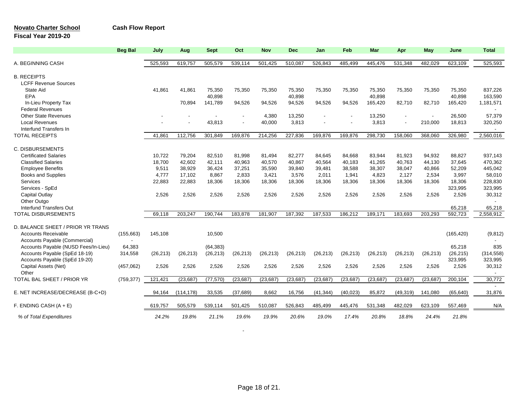### **Novato Charter School Cash Flow Report**

### **Fiscal Year 2019-20**

|                                      | <b>Beg Bal</b> | July      | Aug        | <b>Sept</b> | Oct       | <b>Nov</b> | <b>Dec</b> | Jan       | Feb       | <b>Mar</b> | Apr            | May       | June       | <b>Total</b>             |
|--------------------------------------|----------------|-----------|------------|-------------|-----------|------------|------------|-----------|-----------|------------|----------------|-----------|------------|--------------------------|
| A. BEGINNING CASH                    |                | 525,593   | 619,757    | 505,579     | 539,114   | 501,425    | 510.087    | 526.843   | 485,499   | 445.476    | 531,348        | 482,029   | 623,109    | 525,593                  |
| <b>B. RECEIPTS</b>                   |                |           |            |             |           |            |            |           |           |            |                |           |            |                          |
| <b>LCFF Revenue Sources</b>          |                |           |            |             |           |            |            |           |           |            |                |           |            |                          |
| <b>State Aid</b>                     |                | 41,861    | 41.861     | 75,350      | 75,350    | 75,350     | 75,350     | 75,350    | 75,350    | 75,350     | 75,350         | 75,350    | 75,350     | 837,226                  |
| EPA                                  |                |           |            | 40,898      |           |            | 40,898     |           |           | 40,898     |                |           | 40.898     | 163,590                  |
| In-Lieu Property Tax                 |                |           | 70,894     | 141,789     | 94,526    | 94,526     | 94,526     | 94,526    | 94,526    | 165,420    | 82,710         | 82,710    | 165,420    | 1,181,571                |
| <b>Federal Revenues</b>              |                |           |            |             |           |            |            |           |           |            |                |           |            |                          |
| <b>Other State Revenues</b>          |                |           |            |             |           | 4,380      | 13,250     |           |           | 13,250     | $\blacksquare$ |           | 26,500     | 57,379                   |
| <b>Local Revenues</b>                |                |           |            | 43,813      |           | 40,000     | 3,813      |           |           | 3,813      | $\blacksquare$ | 210,000   | 18,813     | 320,250                  |
| Interfund Transfers In               |                |           |            |             |           |            |            |           |           |            |                |           |            | $\overline{\phantom{a}}$ |
| <b>TOTAL RECEIPTS</b>                |                | 41,861    | 112,756    | 301,849     | 169,876   | 214,256    | 227,836    | 169,876   | 169,876   | 298,730    | 158,060        | 368,060   | 326,980    | 2,560,016                |
|                                      |                |           |            |             |           |            |            |           |           |            |                |           |            |                          |
| <b>C. DISBURSEMENTS</b>              |                |           |            |             |           |            |            |           |           |            |                |           |            |                          |
| <b>Certificated Salaries</b>         |                | 10.722    | 79.204     | 82,510      | 81,998    | 81,494     | 82,277     | 84,645    | 84,668    | 83,944     | 81,923         | 94,932    | 88,827     | 937,143                  |
| <b>Classified Salaries</b>           |                | 18,700    | 42.602     | 42.111      | 40.963    | 40,570     | 40.867     | 40,564    | 40,183    | 41,265     | 40.763         | 44.130    | 37.645     | 470,362                  |
| <b>Employee Benefits</b>             |                | 9,511     | 38,929     | 36,424      | 37,251    | 35,590     | 39,840     | 39,481    | 38,588    | 38,307     | 38,047         | 40,866    | 52,209     | 445,042                  |
| <b>Books and Supplies</b>            |                | 4,777     | 17,102     | 8,867       | 2,833     | 3,421      | 3,576      | 2,011     | 1,941     | 4,823      | 2,127          | 2,534     | 3,997      | 58,010                   |
| Services                             |                | 22,883    | 22,883     | 18,306      | 18,306    | 18,306     | 18,306     | 18,306    | 18,306    | 18,306     | 18,306         | 18,306    | 18,306     | 228,830                  |
| Services - SpEd                      |                |           |            |             |           |            |            |           |           |            |                |           | 323,995    | 323,995                  |
| Capital Outlay                       |                | 2,526     | 2,526      | 2,526       | 2,526     | 2,526      | 2,526      | 2,526     | 2,526     | 2,526      | 2,526          | 2,526     | 2,526      | 30,312                   |
| Other Outgo                          |                |           |            |             |           |            |            |           |           |            |                |           |            |                          |
| <b>Interfund Transfers Out</b>       |                |           |            |             |           |            |            |           |           |            |                |           | 65,218     | 65,218                   |
| <b>TOTAL DISBURSEMENTS</b>           |                | 69.118    | 203.247    | 190.744     | 183,878   | 181,907    | 187,392    | 187,533   | 186.212   | 189,171    | 183.693        | 203,293   | 592,723    | 2,558,912                |
| D. BALANCE SHEET / PRIOR YR TRANS    |                |           |            |             |           |            |            |           |           |            |                |           |            |                          |
| <b>Accounts Receivable</b>           | (155, 663)     | 145,108   |            | 10,500      |           |            |            |           |           |            |                |           | (165, 420) | (9,812)                  |
| Accounts Payable (Commercial)        | $\overline{a}$ |           |            |             |           |            |            |           |           |            |                |           |            |                          |
| Accounts Payable (NUSD Fees/In-Lieu) | 64,383         |           |            | (64, 383)   |           |            |            |           |           |            |                |           | 65,218     | 835                      |
| Accounts Payable (SpEd 18-19)        | 314,558        | (26, 213) | (26, 213)  | (26, 213)   | (26, 213) | (26, 213)  | (26, 213)  | (26, 213) | (26, 213) | (26, 213)  | (26, 213)      | (26, 213) | (26, 215)  | (314, 558)               |
| Accounts Payable (SpEd 19-20)        |                |           |            |             |           |            |            |           |           |            |                |           | 323,995    | 323,995                  |
| Capital Assets (Net)                 | (457,062)      | 2,526     | 2,526      | 2,526       | 2,526     | 2,526      | 2,526      | 2,526     | 2,526     | 2,526      | 2,526          | 2,526     | 2,526      | 30,312                   |
| Other                                |                |           |            |             |           |            |            |           |           |            |                |           |            | $\overline{\phantom{a}}$ |
| TOTAL BAL SHEET / PRIOR YR           | (759, 377)     | 121,421   | (23, 687)  | (77, 570)   | (23, 687) | (23, 687)  | (23, 687)  | (23, 687) | (23, 687) | (23, 687)  | (23, 687)      | (23, 687) | 200,104    | 30,772                   |
|                                      |                |           |            |             |           |            |            |           |           |            |                |           |            |                          |
| E. NET INCREASE/DECREASE (B-C+D)     |                | 94,164    | (114, 178) | 33,535      | (37,689)  | 8,662      | 16,756     | (41, 344) | (40, 023) | 85,872     | (49, 319)      | 141,080   | (65, 640)  | 31,876                   |
| F. ENDING CASH $(A + E)$             |                | 619,757   | 505,579    | 539.114     | 501.425   | 510,087    | 526,843    | 485,499   | 445,476   | 531,348    | 482,029        | 623,109   | 557,469    | N/A                      |
| % of Total Expenditures              |                | 24.2%     | 19.8%      | 21.1%       | 19.6%     | 19.9%      | 20.6%      | 19.0%     | 17.4%     | 20.8%      | 18.8%          | 24.4%     | 21.8%      |                          |

-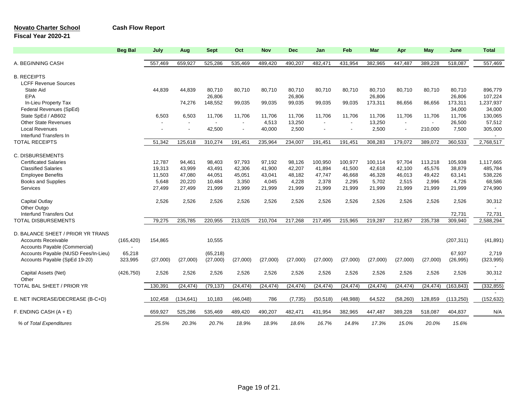### **Novato Charter School Cash Flow Report**

### **Fiscal Year 2020-21**

|                                      | <b>Beg Bal</b> | July     | Aug        | <b>Sept</b>    | Oct       | <b>Nov</b> | <b>Dec</b> | Jan            | Feb       | <b>Mar</b> | Apr       | May            | June       | <b>Total</b>             |
|--------------------------------------|----------------|----------|------------|----------------|-----------|------------|------------|----------------|-----------|------------|-----------|----------------|------------|--------------------------|
| A. BEGINNING CASH                    |                | 557,469  | 659,927    | 525,286        | 535,469   | 489,420    | 490,207    | 482,471        | 431,954   | 382,965    | 447,487   | 389,228        | 518,087    | 557,469                  |
| <b>B. RECEIPTS</b>                   |                |          |            |                |           |            |            |                |           |            |           |                |            |                          |
| <b>LCFF Revenue Sources</b>          |                |          |            |                |           |            |            |                |           |            |           |                |            |                          |
| <b>State Aid</b>                     |                | 44,839   | 44.839     | 80,710         | 80.710    | 80.710     | 80.710     | 80.710         | 80.710    | 80,710     | 80,710    | 80,710         | 80,710     | 896,779                  |
| EPA                                  |                |          |            | 26,806         |           |            | 26,806     |                |           | 26,806     |           |                | 26,806     | 107,224                  |
| In-Lieu Property Tax                 |                |          | 74.276     | 148,552        | 99,035    | 99,035     | 99,035     | 99,035         | 99,035    | 173,311    | 86,656    | 86,656         | 173,311    | 1,237,937                |
| Federal Revenues (SpEd)              |                |          |            |                |           |            |            |                |           |            |           |                | 34,000     | 34,000                   |
|                                      |                |          |            |                |           |            |            |                |           |            |           |                |            |                          |
| State SpEd / AB602                   |                | 6,503    | 6,503      | 11,706         | 11,706    | 11,706     | 11,706     | 11,706         | 11.706    | 11,706     | 11,706    | 11,706         | 11,706     | 130,065                  |
| <b>Other State Revenues</b>          |                |          | $\sim$     | $\blacksquare$ | $\sim$    | 4,513      | 13,250     | $\blacksquare$ | $\sim$    | 13,250     | $\sim$    | $\blacksquare$ | 26,500     | 57,512                   |
| <b>Local Revenues</b>                |                |          |            | 42,500         |           | 40,000     | 2,500      |                |           | 2,500      |           | 210,000        | 7,500      | 305,000                  |
| Interfund Transfers In               |                |          |            |                |           |            |            |                |           |            |           |                |            |                          |
| <b>TOTAL RECEIPTS</b>                |                | 51,342   | 125,618    | 310,274        | 191,451   | 235,964    | 234,007    | 191,451        | 191,451   | 308,283    | 179,072   | 389,072        | 360,533    | 2,768,517                |
| C. DISBURSEMENTS                     |                |          |            |                |           |            |            |                |           |            |           |                |            |                          |
| <b>Certificated Salaries</b>         |                | 12.787   | 94.461     | 98.403         | 97.793    | 97,192     | 98.126     | 100,950        | 100,977   | 100,114    | 97.704    | 113,218        | 105,938    | 1,117,665                |
| <b>Classified Salaries</b>           |                | 19,313   | 43,999     | 43,491         | 42,306    | 41,900     | 42,207     | 41,894         | 41,500    | 42,618     | 42,100    | 45,576         | 38,879     | 485,784                  |
| <b>Employee Benefits</b>             |                | 11,503   | 47,080     | 44,051         | 45,051    | 43,041     | 48,182     | 47,747         | 46,668    | 46,328     | 46,013    | 49,422         | 63,141     | 538,226                  |
| <b>Books and Supplies</b>            |                | 5,648    | 20,220     | 10,484         | 3,350     | 4,045      | 4,228      | 2,378          | 2,295     | 5,702      | 2,515     | 2,996          | 4.726      | 68,586                   |
| Services                             |                | 27,499   | 27,499     | 21,999         | 21,999    | 21,999     | 21,999     | 21,999         | 21,999    | 21,999     | 21,999    | 21,999         | 21,999     | 274,990                  |
|                                      |                |          |            |                |           |            |            |                |           |            |           |                |            |                          |
| <b>Capital Outlay</b>                |                | 2,526    | 2.526      | 2.526          | 2.526     | 2,526      | 2.526      | 2,526          | 2.526     | 2,526      | 2,526     | 2.526          | 2.526      | 30,312                   |
| Other Outgo                          |                |          |            |                |           |            |            |                |           |            |           |                |            |                          |
| Interfund Transfers Out              |                |          |            |                |           |            |            |                |           |            |           |                | 72,731     | 72,731                   |
| <b>TOTAL DISBURSEMENTS</b>           |                | 79,275   | 235,785    | 220,955        | 213,025   | 210,704    | 217,268    | 217,495        | 215,965   | 219,287    | 212,857   | 235,738        | 309,940    | 2,588,294                |
| D. BALANCE SHEET / PRIOR YR TRANS    |                |          |            |                |           |            |            |                |           |            |           |                |            |                          |
| <b>Accounts Receivable</b>           | (165, 420)     | 154,865  |            | 10,555         |           |            |            |                |           |            |           |                | (207, 311) | (41, 891)                |
| Accounts Payable (Commercial)        | ÷              |          |            |                |           |            |            |                |           |            |           |                |            |                          |
| Accounts Payable (NUSD Fees/In-Lieu) | 65,218         |          |            | (65, 218)      |           |            |            |                |           |            |           |                | 67,937     | 2,719                    |
| Accounts Payable (SpEd 19-20)        | 323,995        | (27,000) | (27,000)   | (27,000)       | (27,000)  | (27,000)   | (27,000)   | (27,000)       | (27,000)  | (27,000)   | (27,000)  | (27,000)       | (26, 995)  | (323, 995)               |
| Capital Assets (Net)                 | (426, 750)     | 2,526    | 2,526      | 2,526          | 2,526     | 2,526      | 2,526      | 2,526          | 2,526     | 2,526      | 2,526     | 2,526          | 2,526      | 30,312                   |
| Other                                |                |          |            |                |           |            |            |                |           |            |           |                |            | $\overline{\phantom{a}}$ |
| TOTAL BAL SHEET / PRIOR YR           |                | 130,391  | (24, 474)  | (79, 137)      | (24, 474) | (24, 474)  | (24, 474)  | (24, 474)      | (24, 474) | (24, 474)  | (24, 474) | (24, 474)      | (163, 843) | (332, 855)               |
|                                      |                |          |            |                |           |            |            |                |           |            |           |                |            |                          |
| E. NET INCREASE/DECREASE (B-C+D)     |                | 102,458  | (134, 641) | 10,183         | (46, 048) | 786        | (7, 735)   | (50, 518)      | (48, 988) | 64,522     | (58, 260) | 128,859        | (113, 250) | (152, 632)               |
| F. ENDING CASH $(A + E)$             |                | 659,927  | 525,286    | 535,469        | 489,420   | 490,207    | 482,471    | 431,954        | 382,965   | 447,487    | 389,228   | 518,087        | 404,837    | N/A                      |
| % of Total Expenditures              |                | 25.5%    | 20.3%      | 20.7%          | 18.9%     | 18.9%      | 18.6%      | 16.7%          | 14.8%     | 17.3%      | 15.0%     | 20.0%          | 15.6%      |                          |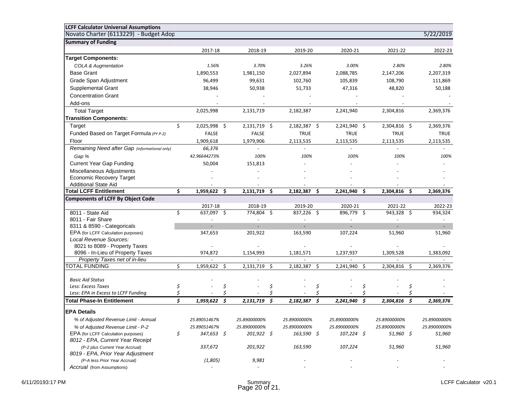| <b>LCFF Calculator Universal Assumptions</b><br>Novato Charter (6113229) - Budget Adop |    |              |    |                |              |     |                  |              |     | 5/22/2019    |
|----------------------------------------------------------------------------------------|----|--------------|----|----------------|--------------|-----|------------------|--------------|-----|--------------|
| <b>Summary of Funding</b>                                                              |    |              |    |                |              |     |                  |              |     |              |
|                                                                                        |    | 2017-18      |    | 2018-19        | 2019-20      |     | 2020-21          | 2021-22      |     | 2022-23      |
| <b>Target Components:</b>                                                              |    |              |    |                |              |     |                  |              |     |              |
| <b>COLA &amp; Augmentation</b>                                                         |    | 1.56%        |    | 3.70%          | 3.26%        |     | 3.00%            | 2.80%        |     | 2.80%        |
| <b>Base Grant</b>                                                                      |    | 1,890,553    |    | 1,981,150      | 2,027,894    |     | 2,088,785        | 2,147,206    |     | 2,207,319    |
| Grade Span Adjustment                                                                  |    | 96,499       |    |                |              |     |                  | 108,790      |     | 111,869      |
|                                                                                        |    |              |    | 99,631         | 102,760      |     | 105,839          |              |     |              |
| Supplemental Grant                                                                     |    | 38,946       |    | 50,938         | 51,733       |     | 47,316           | 48,820       |     | 50,188       |
| <b>Concentration Grant</b>                                                             |    |              |    |                |              |     |                  |              |     |              |
| Add-ons                                                                                |    |              |    |                |              |     |                  |              |     |              |
| <b>Total Target</b>                                                                    |    | 2,025,998    |    | 2,131,719      | 2,182,387    |     | 2,241,940        | 2,304,816    |     | 2,369,376    |
| <b>Transition Components:</b>                                                          |    |              |    |                |              |     |                  |              |     |              |
| Target                                                                                 | \$ | 2,025,998 \$ |    | 2,131,719 \$   | 2,182,387 \$ |     | 2,241,940 \$     | 2,304,816 \$ |     | 2,369,376    |
| Funded Based on Target Formula (PY P-2)                                                |    | <b>FALSE</b> |    | <b>FALSE</b>   | <b>TRUE</b>  |     | <b>TRUE</b>      | <b>TRUE</b>  |     | <b>TRUE</b>  |
| Floor                                                                                  |    | 1,909,618    |    | 1,979,906      | 2,113,535    |     | 2,113,535        | 2,113,535    |     | 2,113,535    |
| Remaining Need after Gap (informational only)                                          |    | 66,376       |    |                |              |     |                  |              |     |              |
| Gap %                                                                                  |    | 42.96644273% |    | 100%           | 100%         |     | 100%             | 100%         |     | 100%         |
| <b>Current Year Gap Funding</b>                                                        |    | 50,004       |    | 151,813        |              |     |                  |              |     |              |
| Miscellaneous Adjustments                                                              |    |              |    |                |              |     |                  |              |     |              |
| <b>Economic Recovery Target</b>                                                        |    |              |    |                |              |     |                  |              |     |              |
| <b>Additional State Aid</b>                                                            |    |              |    |                |              |     |                  |              |     |              |
| <b>Total LCFF Entitlement</b>                                                          | Ś. | 1,959,622 \$ |    | 2,131,719 \$   | 2,182,387 \$ |     | 2,241,940 \$     | 2,304,816 \$ |     | 2,369,376    |
| <b>Components of LCFF By Object Code</b>                                               |    |              |    |                |              |     |                  |              |     |              |
|                                                                                        |    | 2017-18      |    | 2018-19        | 2019-20      |     | 2020-21          | 2021-22      |     | 2022-23      |
| 8011 - State Aid                                                                       | \$ | 637,097 \$   |    | 774,804 \$     | 837,226 \$   |     | 896,779 \$       | 943,328 \$   |     | 934,324      |
| 8011 - Fair Share                                                                      |    |              |    |                |              |     |                  |              |     |              |
| 8311 & 8590 - Categoricals                                                             |    |              |    |                |              |     |                  |              |     |              |
| EPA (for LCFF Calculation purposes)                                                    |    | 347,653      |    | 201,922        | 163,590      |     | 107,224          | 51,960       |     | 51,960       |
| Local Revenue Sources:                                                                 |    |              |    |                |              |     |                  |              |     |              |
| 8021 to 8089 - Property Taxes<br>8096 - In-Lieu of Property Taxes                      |    | 974,872      |    | 1,154,993      | 1,181,571    |     | 1,237,937        | 1,309,528    |     | 1,383,092    |
| Property Taxes net of in-lieu                                                          |    |              |    |                |              |     |                  |              |     |              |
| <b>TOTAL FUNDING</b>                                                                   | Ś. | 1,959,622 \$ |    | 2,131,719 \$   | 2,182,387 \$ |     | 2,241,940 \$     | 2,304,816    | -\$ | 2,369,376    |
|                                                                                        |    |              |    |                |              |     |                  |              |     |              |
| <b>Basic Aid Status</b>                                                                |    |              |    |                |              |     |                  |              |     |              |
| Less: Excess Taxes                                                                     | \$ |              | \$ | Ś              |              | \$  | Ś                |              | \$  |              |
| Less: EPA in Excess to LCFF Funding                                                    |    |              |    |                |              |     |                  |              |     |              |
| <b>Total Phase-In Entitlement</b>                                                      | Ś. | 1,959,622    | 5  | 5<br>2,131,719 | 2,182,387    | - 5 | 2,241,940<br>- S | 2,304,816    | S.  | 2,369,376    |
| <b>EPA Details</b>                                                                     |    |              |    |                |              |     |                  |              |     |              |
|                                                                                        |    |              |    |                |              |     |                  |              |     |              |
| % of Adjusted Revenue Limit - Annual                                                   |    | 25.89051467% |    | 25.89000000%   | 25.89000000% |     | 25.89000000%     | 25.89000000% |     | 25.89000000% |
| % of Adjusted Revenue Limit - P-2                                                      |    | 25.89051467% |    | 25.89000000%   | 25.89000000% |     | 25.89000000%     | 25.89000000% |     | 25.89000000% |
| EPA (for LCFF Calculation purposes)<br>8012 - EPA, Current Year Receipt                | \$ | 347,653 \$   |    | $201,922 \div$ | $163,590$ \$ |     | $107,224$ \$     | $51,960$ \$  |     | 51,960       |
| (P-2 plus Current Year Accrual)<br>8019 - EPA, Prior Year Adjustment                   |    | 337,672      |    | 201,922        | 163,590      |     | 107,224          | 51,960       |     | 51,960       |
| (P-A less Prior Year Accrual)                                                          |    | (1,805)      |    | 9,981          |              |     |                  |              |     |              |
| Accrual (from Assumptions)                                                             |    |              |    |                |              |     |                  |              |     |              |